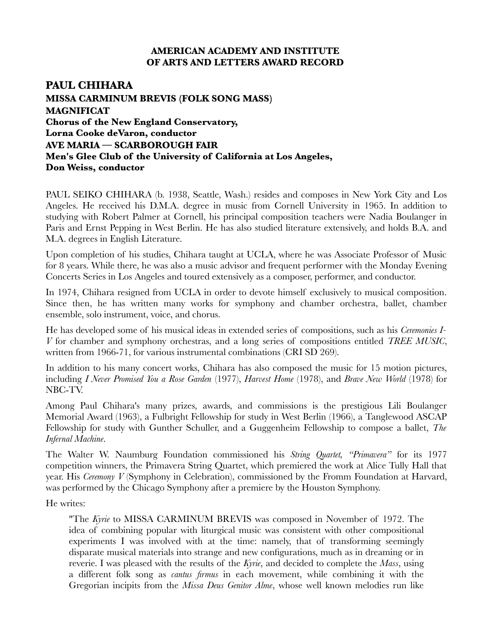#### **AMERICAN ACADEMY AND INSTITUTE OF ARTS AND LETTERS AWARD RECORD**

# **PAUL CHIHARA MISSA CARMINUM BREVIS (FOLK SONG MASS) MAGNIFICAT Chorus of the New England Conservatory, Lorna Cooke deVaron, conductor AVE MARIA — SCARBOROUGH FAIR Men's Glee Club of the University of California at Los Angeles, Don Weiss, conductor**

PAUL SEIKO CHIHARA (b. 1938, Seattle, Wash.) resides and composes in New York City and Los Angeles. He received his D.M.A. degree in music from Cornell University in 1965. In addition to studying with Robert Palmer at Cornell, his principal composition teachers were Nadia Boulanger in Paris and Ernst Pepping in West Berlin. He has also studied literature extensively, and holds B.A. and M.A. degrees in English Literature.

Upon completion of his studies, Chihara taught at UCLA, where he was Associate Professor of Music for 8 years. While there, he was also a music advisor and frequent performer with the Monday Evening Concerts Series in Los Angeles and toured extensively as a composer, performer, and conductor.

In 1974, Chihara resigned from UCLA in order to devote himself exclusively to musical composition. Since then, he has written many works for symphony and chamber orchestra, ballet, chamber ensemble, solo instrument, voice, and chorus.

He has developed some of his musical ideas in extended series of compositions, such as his *Ceremonies I-V* for chamber and symphony orchestras, and a long series of compositions entitled *TREE MUSIC*, written from 1966-71, for various instrumental combinations (CRI SD 269).

In addition to his many concert works, Chihara has also composed the music for 15 motion pictures, including *I Never Promised You a Rose Garden* (1977), *Harvest Home* (1978), and *Brave New World* (1978) for NBC-TV.

Among Paul Chihara's many prizes, awards, and commissions is the prestigious Lili Boulanger Memorial Award (1963), a Fulbright Fellowship for study in West Berlin (1966), a Tanglewood ASCAP Fellowship for study with Gunther Schuller, and a Guggenheim Fellowship to compose a ballet, *The Infernal Machine*.

The Walter W. Naumburg Foundation commissioned his *String Quartet, "Primavera"* for its 1977 competition winners, the Primavera String Quartet, which premiered the work at Alice Tully Hall that year. His *Ceremony V* (Symphony in Celebration), commissioned by the Fromm Foundation at Harvard, was performed by the Chicago Symphony after a premiere by the Houston Symphony.

He writes:

"The *Kyrie* to MISSA CARMINUM BREVIS was composed in November of 1972. The idea of combining popular with liturgical music was consistent with other compositional experiments I was involved with at the time: namely, that of transforming seemingly disparate musical materials into strange and new configurations, much as in dreaming or in reverie. I was pleased with the results of the *Kyrie*, and decided to complete the *Mass*, using a different folk song as *cantus firmus* in each movement, while combining it with the Gregorian incipits from the *Missa Deus Genitor Alme*, whose well known melodies run like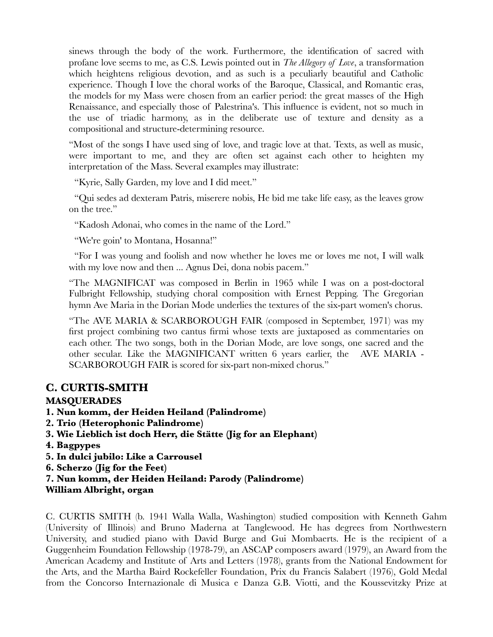sinews through the body of the work. Furthermore, the identification of sacred with profane love seems to me, as C.S. Lewis pointed out in *The Allegory of Love*, a transformation which heightens religious devotion, and as such is a peculiarly beautiful and Catholic experience. Though I love the choral works of the Baroque, Classical, and Romantic eras, the models for my Mass were chosen from an earlier period: the great masses of the High Renaissance, and especially those of Palestrina's. This influence is evident, not so much in the use of triadic harmony, as in the deliberate use of texture and density as a compositional and structure-determining resource.

"Most of the songs I have used sing of love, and tragic love at that. Texts, as well as music, were important to me, and they are often set against each other to heighten my interpretation of the Mass. Several examples may illustrate:

"Kyrie, Sally Garden, my love and I did meet."

"Qui sedes ad dexteram Patris, miserere nobis, He bid me take life easy, as the leaves grow on the tree."

"Kadosh Adonai, who comes in the name of the Lord."

"We're goin' to Montana, Hosanna!"

"For I was young and foolish and now whether he loves me or loves me not, I will walk with my love now and then ... Agnus Dei, dona nobis pacem."

"The MAGNIFICAT was composed in Berlin in 1965 while I was on a post-doctoral Fulbright Fellowship, studying choral composition with Ernest Pepping. The Gregorian hymn Ave Maria in the Dorian Mode underlies the textures of the six-part women's chorus.

"The AVE MARIA & SCARBOROUGH FAIR (composed in September, 1971) was my first project combining two cantus firmi whose texts are juxtaposed as commentaries on each other. The two songs, both in the Dorian Mode, are love songs, one sacred and the other secular. Like the MAGNIFICANT written 6 years earlier, the AVE MARIA - SCARBOROUGH FAIR is scored for six-part non-mixed chorus."

# **C. CURTIS-SMITH**

# **MASQUERADES**

- **1. Nun komm, der Heiden Heiland (Palindrome)**
- **2. Trio (Heterophonic Palindrome)**
- **3. Wie Lieblich ist doch Herr, die Stätte (Jig for an Elephant)**
- **4. Bagpypes**
- **5. In dulci jubilo: Like a Carrousel**
- **6. Scherzo (Jig for the Feet)**
- **7. Nun komm, der Heiden Heiland: Parody (Palindrome)**
- **William Albright, organ**

C. CURTIS SMITH (b. 1941 Walla Walla, Washington) studied composition with Kenneth Gahm (University of Illinois) and Bruno Maderna at Tanglewood. He has degrees from Northwestern University, and studied piano with David Burge and Gui Mombaerts. He is the recipient of a Guggenheim Foundation Fellowship (1978-79), an ASCAP composers award (1979), an Award from the American Academy and Institute of Arts and Letters (1978), grants from the National Endowment for the Arts, and the Martha Baird Rockefeller Foundation, Prix du Francis Salabert (1976), Gold Medal from the Concorso Internazionale di Musica e Danza G.B. Viotti, and the Koussevitzky Prize at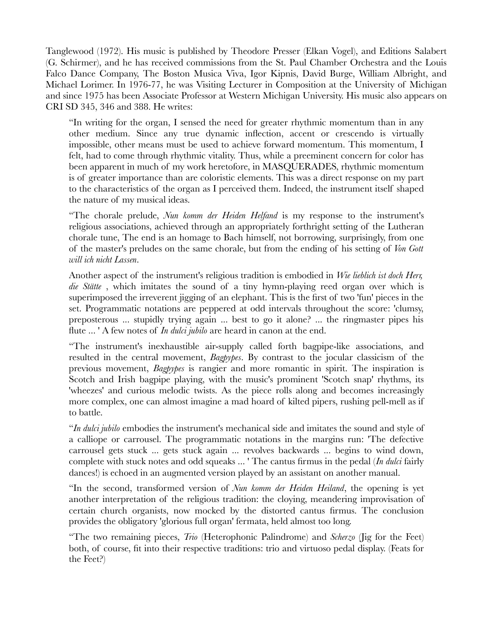Tanglewood (1972). His music is published by Theodore Presser (Elkan Vogel), and Editions Salabert (G. Schirmer), and he has received commissions from the St. Paul Chamber Orchestra and the Louis Falco Dance Company, The Boston Musica Viva, Igor Kipnis, David Burge, William Albright, and Michael Lorimer. In 1976-77, he was Visiting Lecturer in Composition at the University of Michigan and since 1975 has been Associate Professor at Western Michigan University. His music also appears on CRI SD 345, 346 and 388. He writes:

"In writing for the organ, I sensed the need for greater rhythmic momentum than in any other medium. Since any true dynamic inflection, accent or crescendo is virtually impossible, other means must be used to achieve forward momentum. This momentum, I felt, had to come through rhythmic vitality. Thus, while a preeminent concern for color has been apparent in much of my work heretofore, in MASQUERADES, rhythmic momentum is of greater importance than are coloristic elements. This was a direct response on my part to the characteristics of the organ as I perceived them. Indeed, the instrument itself shaped the nature of my musical ideas.

"The chorale prelude, *Nun komm der Heiden Helfand* is my response to the instrument's religious associations, achieved through an appropriately forthright setting of the Lutheran chorale tune, The end is an homage to Bach himself, not borrowing, surprisingly, from one of the master's preludes on the same chorale, but from the ending of his setting of *Von Gott will ich nicht Lassen*.

Another aspect of the instrument's religious tradition is embodied in *Wie lieblich ist doch Herr, die Stätte* , which imitates the sound of a tiny hymn-playing reed organ over which is superimposed the irreverent jigging of an elephant. This is the first of two 'fun' pieces in the set. Programmatic notations are peppered at odd intervals throughout the score: 'clumsy, preposterous ... stupidly trying again ... best to go it alone? ... the ringmaster pipes his flute ... ' A few notes of *In dulci jubilo* are heard in canon at the end.

"The instrument's inexhaustible air-supply called forth bagpipe-like associations, and resulted in the central movement, *Bagpypes*. By contrast to the jocular classicism of the previous movement, *Bagpypes* is rangier and more romantic in spirit. The inspiration is Scotch and Irish bagpipe playing, with the music's prominent 'Scotch snap' rhythms, its 'wheezes' and curious melodic twists. As the piece rolls along and becomes increasingly more complex, one can almost imagine a mad hoard of kilted pipers, rushing pell-mell as if to battle.

"*In dulci jubilo* embodies the instrument's mechanical side and imitates the sound and style of a calliope or carrousel. The programmatic notations in the margins run: 'The defective carrousel gets stuck ... gets stuck again ... revolves backwards ... begins to wind down, complete with stuck notes and odd squeaks ... ' The cantus firmus in the pedal (*In dulci* fairly dances!) is echoed in an augmented version played by an assistant on another manual.

"In the second, transformed version of *Nun komm der Heiden Heiland*, the opening is yet another interpretation of the religious tradition: the cloying, meandering improvisation of certain church organists, now mocked by the distorted cantus firmus. The conclusion provides the obligatory 'glorious full organ' fermata, held almost too long.

"The two remaining pieces, *Trio* (Heterophonic Palindrome) and *Scherzo* (Jig for the Feet) both, of course, fit into their respective traditions: trio and virtuoso pedal display. (Feats for the Feet?)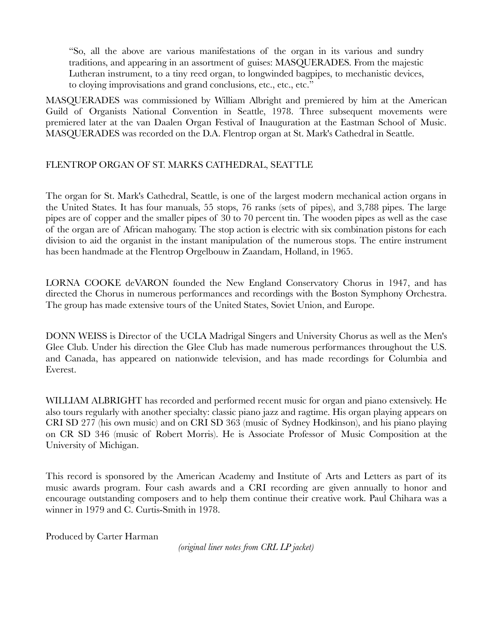"So, all the above are various manifestations of the organ in its various and sundry traditions, and appearing in an assortment of guises: MASQUERADES. From the majestic Lutheran instrument, to a tiny reed organ, to longwinded bagpipes, to mechanistic devices, to cloying improvisations and grand conclusions, etc., etc., etc."

MASQUERADES was commissioned by William Albright and premiered by him at the American Guild of Organists National Convention in Seattle, 1978. Three subsequent movements were premiered later at the van Daalen Organ Festival of Inauguration at the Eastman School of Music. MASQUERADES was recorded on the D.A. Flentrop organ at St. Mark's Cathedral in Seattle.

#### FLENTROP ORGAN OF ST. MARKS CATHEDRAL, SEATTLE

The organ for St. Mark's Cathedral, Seattle, is one of the largest modern mechanical action organs in the United States. It has four manuals, 55 stops, 76 ranks (sets of pipes), and 3,788 pipes. The large pipes are of copper and the smaller pipes of 30 to 70 percent tin. The wooden pipes as well as the case of the organ are of African mahogany. The stop action is electric with six combination pistons for each division to aid the organist in the instant manipulation of the numerous stops. The entire instrument has been handmade at the Flentrop Orgelbouw in Zaandam, Holland, in 1965.

LORNA COOKE deVARON founded the New England Conservatory Chorus in 1947, and has directed the Chorus in numerous performances and recordings with the Boston Symphony Orchestra. The group has made extensive tours of the United States, Soviet Union, and Europe.

DONN WEISS is Director of the UCLA Madrigal Singers and University Chorus as well as the Men's Glee Club. Under his direction the Glee Club has made numerous performances throughout the U.S. and Canada, has appeared on nationwide television, and has made recordings for Columbia and Everest.

WILLIAM ALBRIGHT has recorded and performed recent music for organ and piano extensively. He also tours regularly with another specialty: classic piano jazz and ragtime. His organ playing appears on CRI SD 277 (his own music) and on CRI SD 363 (music of Sydney Hodkinson), and his piano playing on CR SD 346 (music of Robert Morris). He is Associate Professor of Music Composition at the University of Michigan.

This record is sponsored by the American Academy and Institute of Arts and Letters as part of its music awards program. Four cash awards and a CRI recording are given annually to honor and encourage outstanding composers and to help them continue their creative work. Paul Chihara was a winner in 1979 and C. Curtis-Smith in 1978.

Produced by Carter Harman

*(original liner notes from CRL LP jacket)*